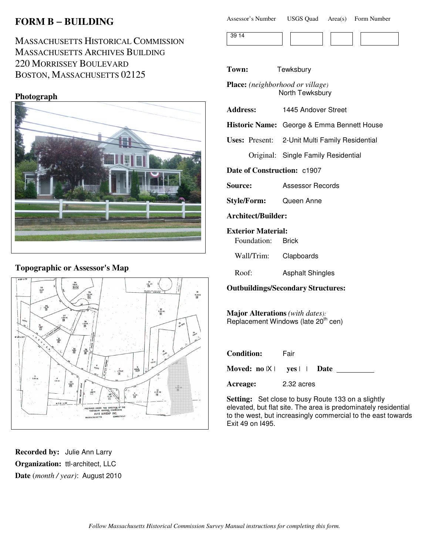# **FORM B** − **BUILDING**

MASSACHUSETTS HISTORICAL COMMISSION MASSACHUSETTS ARCHIVES BUILDING 220 MORRISSEY BOULEVARD BOSTON, MASSACHUSETTS 02125

# **Photograph**



### **Topographic or Assessor's Map**



**Recorded by:** Julie Ann Larry **Organization:** ttl-architect, LLC **Date** (*month / year)*: August 2010

| Assessor's Number | <b>USGS Quad</b> | Area(s) | Form Number |
|-------------------|------------------|---------|-------------|
|-------------------|------------------|---------|-------------|

**Town:** Tewksbury

**Place:** *(neighborhood or village)* North Tewksbury

| <b>Address:</b> |  | 1445 Andover Street |  |
|-----------------|--|---------------------|--|
|-----------------|--|---------------------|--|

**Historic Name:** George & Emma Bennett House

**Uses:** Present: 2-Unit Multi Family Residential

Original: Single Family Residential

**Date of Construction:** c1907

**Source:** Assessor Records

**Style/Form:** Queen Anne

**Architect/Builder:**

#### **Exterior Material:**

Foundation: Brick

Wall/Trim: Clapboards

Roof: Asphalt Shingles

#### **Outbuildings/Secondary Structures:**

**Major Alterations** *(with dates):* Replacement Windows (late 20<sup>th</sup> cen)

| <b>Condition:</b> | Fair                                              |
|-------------------|---------------------------------------------------|
|                   | Moved: $no \nvert X \vert$ yes $\vert \vert$ Date |
| Acreage:          | 2.32 acres                                        |

**Setting:** Set close to busy Route 133 on a slightly elevated, but flat site. The area is predominately residential to the west, but increasingly commercial to the east towards Exit 49 on I495.